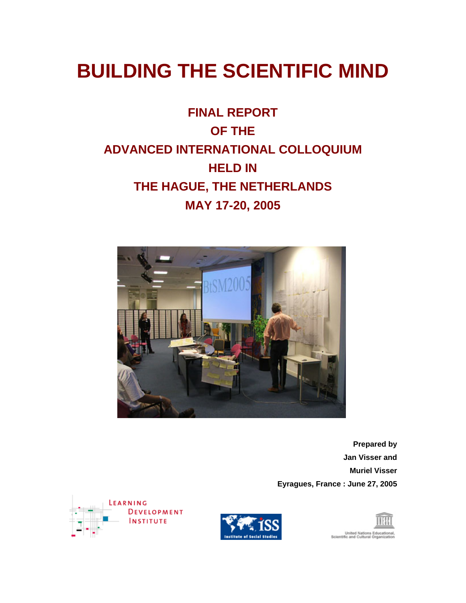# **BUILDING THE SCIENTIFIC MIND**

# **FINAL REPORT OF THE ADVANCED INTERNATIONAL COLLOQUIUM HELD IN THE HAGUE, THE NETHERLANDS MAY 17-20, 2005**



**Prepared by Jan Visser and Muriel Visser Eyragues, France : June 27, 2005** 





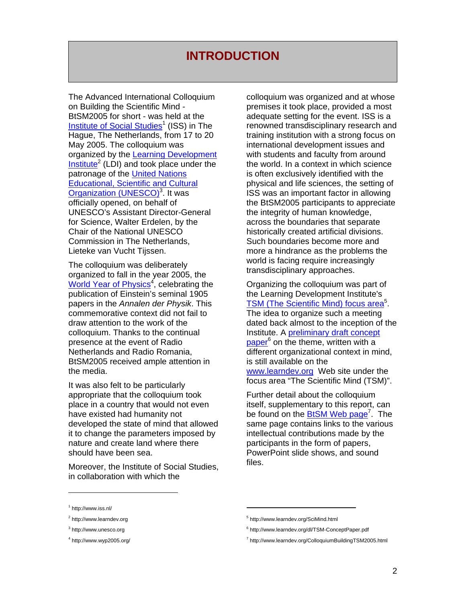### **INTRODUCTION**

The Advanced International Colloquium on Building the Scientific Mind - BtSM2005 for short - was held at the [Institute of Social Studies](http://www.iss.nl/)<sup>1</sup>(ISS) in The Hague, The Netherlands, from 17 to 20 May 2005. The colloquium was organized by the [Learning Development](http://www.learndev.org/)   $Institute<sup>2</sup>$  $Institute<sup>2</sup>$  $Institute<sup>2</sup>$  $Institute<sup>2</sup>$  (LDI) and took place under the patronage of the [United Nations](http://www.unesco.org/)  [Educational, Scientific and Cultural](http://www.unesco.org/)  Organization (UNESCO)<sup>3</sup>. It was officially opened, on behalf of UNESCO's Assistant Director-General for Science, Walter Erdelen, by the Chair of the National UNESCO Commission in The Netherlands, Lieteke van Vucht Tijssen.

The colloquium was deliberately organized to fall in the year 2005, the [World Year of Physics](http://www.wyp2005.org/)<sup>[4](#page-1-3)</sup>, celebrating the publication of Einstein's seminal 1905 papers in the *Annalen der Physik*. This commemorative context did not fail to draw attention to the work of the colloquium. Thanks to the continual presence at the event of Radio Netherlands and Radio Romania, BtSM2005 received ample attention in the media.

It was also felt to be particularly appropriate that the colloquium took place in a country that would not even have existed had humanity not developed the state of mind that allowed it to change the parameters imposed by nature and create land where there should have been sea.

Moreover, the Institute of Social Studies, in collaboration with which the

colloquium was organized and at whose premises it took place, provided a most adequate setting for the event. ISS is a renowned transdisciplinary research and training institution with a strong focus on international development issues and with students and faculty from around the world. In a context in which science is often exclusively identified with the physical and life sciences, the setting of ISS was an important factor in allowing the BtSM2005 participants to appreciate the integrity of human knowledge, across the boundaries that separate historically created artificial divisions. Such boundaries become more and more a hindrance as the problems the world is facing require increasingly transdisciplinary approaches.

Organizing the colloquium was part of the Learning Development Institute's [TSM \(The Scientific Mind\) focus area](http://www.learndev.org/SciMind.html)<sup>5</sup> The idea to organize such a meeting dated back almost to the inception of the Institute. A [preliminary draft concept](http://www.learndev.org/dl/TSM-ConceptPaper.pdf)  [paper](http://www.learndev.org/dl/TSM-ConceptPaper.pdf)<sup>6</sup>on the theme, written with a different organizational context in mind, is still available on the [www.learndev.org](http://www.learndev.org/) Web site under the focus area "The Scientific Mind (TSM)".

Further detail about the colloquium itself, supplementary to this report, can be found on the **BtSM Web page<sup>7</sup>.** The same page contains links to the various intellectual contributions made by the participants in the form of papers, PowerPoint slide shows, and sound files.

-

<span id="page-1-0"></span><sup>1</sup> http://www.iss.nl/

<span id="page-1-1"></span><sup>&</sup>lt;sup>2</sup> http://www.learndev.org

<span id="page-1-2"></span><sup>&</sup>lt;sup>3</sup> http://www.unesco.org

<span id="page-1-3"></span><sup>4</sup> http://www.wyp2005.org/

<span id="page-1-4"></span><sup>5</sup> http://www.learndev.org/SciMind.html

<span id="page-1-5"></span><sup>6</sup> http://www.learndev.org/dl/TSM-ConceptPaper.pdf

<span id="page-1-6"></span><sup>&</sup>lt;sup>7</sup> http://www.learndev.org/ColloquiumBuildingTSM2005.html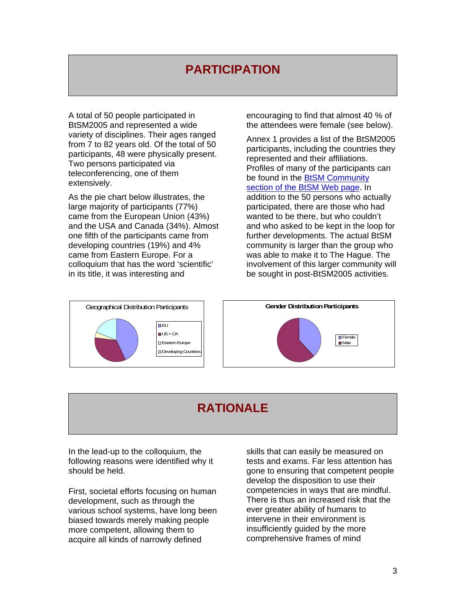# **PARTICIPATION**

A total of 50 people participated in BtSM2005 and represented a wide variety of disciplines. Their ages ranged from 7 to 82 years old. Of the total of 50 participants, 48 were physically present. Two persons participated via teleconferencing, one of them extensively.

As the pie chart below illustrates, the large majority of participants (77%) came from the European Union (43%) and the USA and Canada (34%). Almost one fifth of the participants came from developing countries (19%) and 4% came from Eastern Europe. For a colloquium that has the word 'scientific' in its title, it was interesting and

encouraging to find that almost 40 % of the attendees were female (see below).

Annex 1 provides a list of the BtSM2005 participants, including the countries they represented and their affiliations. Profiles of many of the participants can be found in the **BtSM Community** section of the BtSM Web page. In addition to the 50 persons who actually participated, there are those who had wanted to be there, but who couldn't and who asked to be kept in the loop for further developments. The actual BtSM community is larger than the group who was able to make it to The Hague. The involvement of this larger community will be sought in post-BtSM2005 activities.



## **RATIONALE**

In the lead-up to the colloquium, the following reasons were identified why it should be held.

First, societal efforts focusing on human development, such as through the various school systems, have long been biased towards merely making people more competent, allowing them to acquire all kinds of narrowly defined

skills that can easily be measured on tests and exams. Far less attention has gone to ensuring that competent people develop the disposition to use their competencies in ways that are mindful. There is thus an increased risk that the ever greater ability of humans to intervene in their environment is insufficiently guided by the more comprehensive frames of mind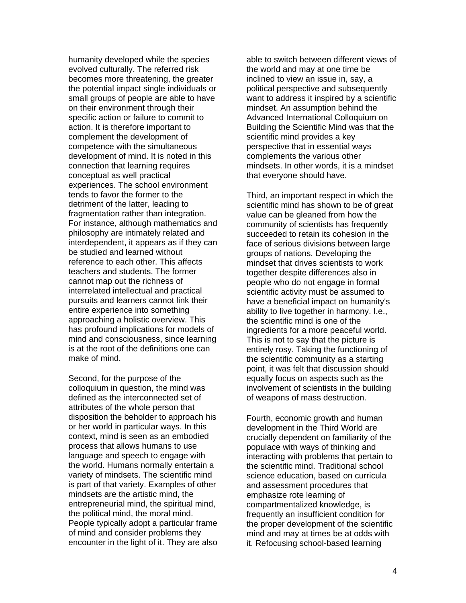humanity developed while the species evolved culturally. The referred risk becomes more threatening, the greater the potential impact single individuals or small groups of people are able to have on their environment through their specific action or failure to commit to action. It is therefore important to complement the development of competence with the simultaneous development of mind. It is noted in this connection that learning requires conceptual as well practical experiences. The school environment tends to favor the former to the detriment of the latter, leading to fragmentation rather than integration. For instance, although mathematics and philosophy are intimately related and interdependent, it appears as if they can be studied and learned without reference to each other. This affects teachers and students. The former cannot map out the richness of interrelated intellectual and practical pursuits and learners cannot link their entire experience into something approaching a holistic overview. This has profound implications for models of mind and consciousness, since learning is at the root of the definitions one can make of mind.

Second, for the purpose of the colloquium in question, the mind was defined as the interconnected set of attributes of the whole person that disposition the beholder to approach his or her world in particular ways. In this context, mind is seen as an embodied process that allows humans to use language and speech to engage with the world. Humans normally entertain a variety of mindsets. The scientific mind is part of that variety. Examples of other mindsets are the artistic mind, the entrepreneurial mind, the spiritual mind, the political mind, the moral mind. People typically adopt a particular frame of mind and consider problems they encounter in the light of it. They are also able to switch between different views of the world and may at one time be inclined to view an issue in, say, a political perspective and subsequently want to address it inspired by a scientific mindset. An assumption behind the Advanced International Colloquium on Building the Scientific Mind was that the scientific mind provides a key perspective that in essential ways complements the various other mindsets. In other words, it is a mindset that everyone should have.

Third, an important respect in which the scientific mind has shown to be of great value can be gleaned from how the community of scientists has frequently succeeded to retain its cohesion in the face of serious divisions between large groups of nations. Developing the mindset that drives scientists to work together despite differences also in people who do not engage in formal scientific activity must be assumed to have a beneficial impact on humanity's ability to live together in harmony. I.e., the scientific mind is one of the ingredients for a more peaceful world. This is not to say that the picture is entirely rosy. Taking the functioning of the scientific community as a starting point, it was felt that discussion should equally focus on aspects such as the involvement of scientists in the building of weapons of mass destruction.

Fourth, economic growth and human development in the Third World are crucially dependent on familiarity of the populace with ways of thinking and interacting with problems that pertain to the scientific mind. Traditional school science education, based on curricula and assessment procedures that emphasize rote learning of compartmentalized knowledge, is frequently an insufficient condition for the proper development of the scientific mind and may at times be at odds with it. Refocusing school-based learning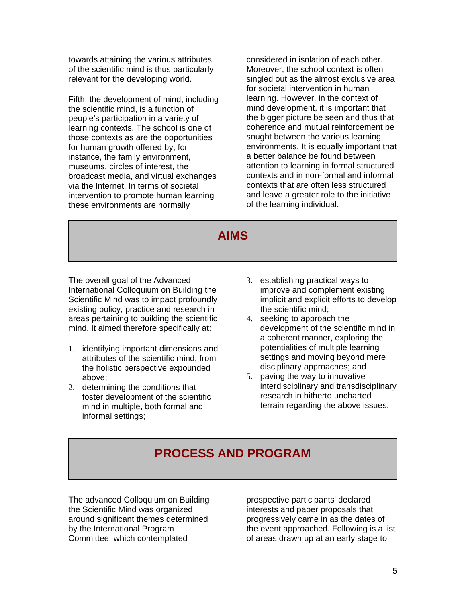towards attaining the various attributes of the scientific mind is thus particularly relevant for the developing world.

Fifth, the development of mind, including the scientific mind, is a function of people's participation in a variety of learning contexts. The school is one of those contexts as are the opportunities for human growth offered by, for instance, the family environment, museums, circles of interest, the broadcast media, and virtual exchanges via the Internet. In terms of societal intervention to promote human learning these environments are normally

considered in isolation of each other. Moreover, the school context is often singled out as the almost exclusive area for societal intervention in human learning. However, in the context of mind development, it is important that the bigger picture be seen and thus that coherence and mutual reinforcement be sought between the various learning environments. It is equally important that a better balance be found between attention to learning in formal structured contexts and in non-formal and informal contexts that are often less structured and leave a greater role to the initiative of the learning individual.

### **AIMS**

The overall goal of the Advanced International Colloquium on Building the Scientific Mind was to impact profoundly existing policy, practice and research in areas pertaining to building the scientific mind. It aimed therefore specifically at:

- 1. identifying important dimensions and attributes of the scientific mind, from the holistic perspective expounded above;
- 2. determining the conditions that foster development of the scientific mind in multiple, both formal and informal settings;
- 3. establishing practical ways to improve and complement existing implicit and explicit efforts to develop the scientific mind;
- 4. seeking to approach the development of the scientific mind in a coherent manner, exploring the potentialities of multiple learning settings and moving beyond mere disciplinary approaches; and
- 5. paving the way to innovative interdisciplinary and transdisciplinary research in hitherto uncharted terrain regarding the above issues.

# **PROCESS AND PROGRAM**

The advanced Colloquium on Building the Scientific Mind was organized around significant themes determined by the International Program Committee, which contemplated

prospective participants' declared interests and paper proposals that progressively came in as the dates of the event approached. Following is a list of areas drawn up at an early stage to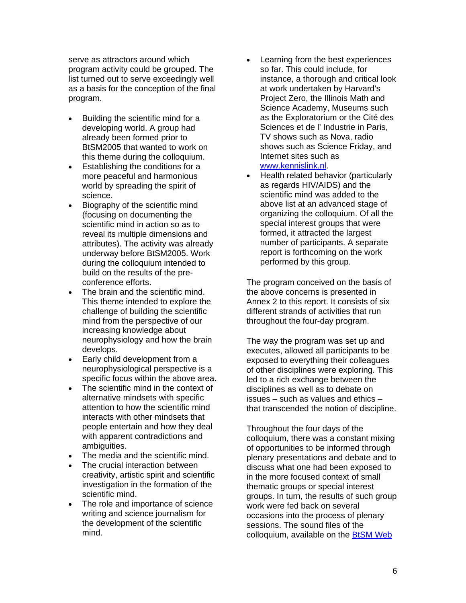serve as attractors around which program activity could be grouped. The list turned out to serve exceedingly well as a basis for the conception of the final program.

- Building the scientific mind for a developing world. A group had already been formed prior to BtSM2005 that wanted to work on this theme during the colloquium.
- Establishing the conditions for a more peaceful and harmonious world by spreading the spirit of science.
- Biography of the scientific mind (focusing on documenting the scientific mind in action so as to reveal its multiple dimensions and attributes). The activity was already underway before BtSM2005. Work during the colloquium intended to build on the results of the preconference efforts.
- The brain and the scientific mind. This theme intended to explore the challenge of building the scientific mind from the perspective of our increasing knowledge about neurophysiology and how the brain develops.
- Early child development from a neurophysiological perspective is a specific focus within the above area.
- The scientific mind in the context of alternative mindsets with specific attention to how the scientific mind interacts with other mindsets that people entertain and how they deal with apparent contradictions and ambiguities.
- The media and the scientific mind.
- The crucial interaction between creativity, artistic spirit and scientific investigation in the formation of the scientific mind.
- The role and importance of science writing and science journalism for the development of the scientific mind.
- Learning from the best experiences so far. This could include, for instance, a thorough and critical look at work undertaken by Harvard's Project Zero, the Illinois Math and Science Academy, Museums such as the Exploratorium or the Cité des Sciences et de l' Industrie in Paris, TV shows such as Nova, radio shows such as Science Friday, and Internet sites such as [www.kennislink.nl.](http://www.kennislink.nl/)
- Health related behavior (particularly as regards HIV/AIDS) and the scientific mind was added to the above list at an advanced stage of organizing the colloquium. Of all the special interest groups that were formed, it attracted the largest number of participants. A separate report is forthcoming on the work performed by this group.

The program conceived on the basis of the above concerns is presented in Annex 2 to this report. It consists of six different strands of activities that run throughout the four-day program.

The way the program was set up and executes, allowed all participants to be exposed to everything their colleagues of other disciplines were exploring. This led to a rich exchange between the disciplines as well as to debate on issues – such as values and ethics – that transcended the notion of discipline.

Throughout the four days of the colloquium, there was a constant mixing of opportunities to be informed through plenary presentations and debate and to discuss what one had been exposed to in the more focused context of small thematic groups or special interest groups. In turn, the results of such group work were fed back on several occasions into the process of plenary sessions. The sound files of the colloquium, available on the [BtSM Web](http://www.learndev.org/ColloquiumBuildingTSM2005.html)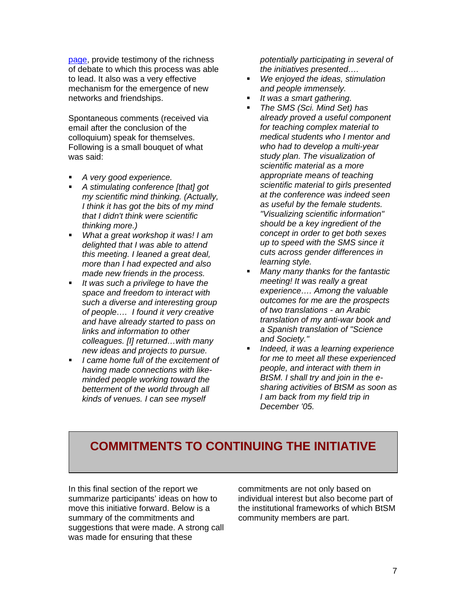[page](http://www.learndev.org/ColloquiumBuildingTSM2005.html), provide testimony of the richness of debate to which this process was able to lead. It also was a very effective mechanism for the emergence of new networks and friendships.

Spontaneous comments (received via email after the conclusion of the colloquium) speak for themselves. Following is a small bouquet of what was said:

- *A very good experience.*
- *A stimulating conference [that] got my scientific mind thinking. (Actually, I think it has got the bits of my mind that I didn't think were scientific thinking more.)*
- *What a great workshop it was! I am delighted that I was able to attend this meeting. I leaned a great deal, more than I had expected and also made new friends in the process.*
- *It was such a privilege to have the space and freedom to interact with such a diverse and interesting group of people…. I found it very creative and have already started to pass on links and information to other colleagues. [I] returned…with many new ideas and projects to pursue.*
- *I came home full of the excitement of having made connections with likeminded people working toward the betterment of the world through all kinds of venues. I can see myself*

*potentially participating in several of the initiatives presented….* 

- *We enjoyed the ideas, stimulation and people immensely.*
- *It was a smart gathering.*
- *The SMS (Sci. Mind Set) has already proved a useful component for teaching complex material to medical students who I mentor and who had to develop a multi-year study plan. The visualization of scientific material as a more appropriate means of teaching scientific material to girls presented at the conference was indeed seen as useful by the female students. "Visualizing scientific information" should be a key ingredient of the concept in order to get both sexes up to speed with the SMS since it cuts across gender differences in learning style.*
- *Many many thanks for the fantastic meeting! It was really a great experience…. Among the valuable outcomes for me are the prospects of two translations - an Arabic translation of my anti-war book and a Spanish translation of "Science and Society."*
- *Indeed, it was a learning experience for me to meet all these experienced people, and interact with them in BtSM. I shall try and join in the esharing activities of BtSM as soon as I am back from my field trip in December '05.*

### **COMMITMENTS TO CONTINUING THE INITIATIVE**

In this final section of the report we summarize participants' ideas on how to move this initiative forward. Below is a summary of the commitments and suggestions that were made. A strong call was made for ensuring that these

commitments are not only based on individual interest but also become part of the institutional frameworks of which BtSM community members are part.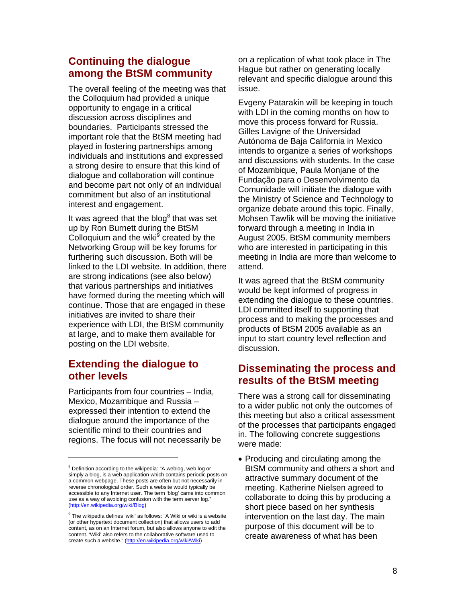### **Continuing the dialogue among the BtSM community**

The overall feeling of the meeting was that the Colloquium had provided a unique opportunity to engage in a critical discussion across disciplines and boundaries. Participants stressed the important role that the BtSM meeting had played in fostering partnerships among individuals and institutions and expressed a strong desire to ensure that this kind of dialogue and collaboration will continue and become part not only of an individual commitment but also of an institutional interest and engagement.

Itwas agreed that the blog $^8$  that was set up by Ron Burnett during the BtSM Colloquium and the wiki<sup>9</sup> created by the Networking Group will be key forums for furthering such discussion. Both will be linked to the LDI website. In addition, there are strong indications (see also below) that various partnerships and initiatives have formed during the meeting which will continue. Those that are engaged in these initiatives are invited to share their experience with LDI, the BtSM community at large, and to make them available for posting on the LDI website.

### **Extending the dialogue to other levels**

Participants from four countries – India, Mexico, Mozambique and Russia – expressed their intention to extend the dialogue around the importance of the scientific mind to their countries and regions. The focus will not necessarily be on a replication of what took place in The Hague but rather on generating locally relevant and specific dialogue around this issue.

Evgeny Patarakin will be keeping in touch with LDI in the coming months on how to move this process forward for Russia. Gilles Lavigne of the Universidad Autónoma de Baja California in Mexico intends to organize a series of workshops and discussions with students. In the case of Mozambique, Paula Monjane of the Fundação para o Desenvolvimento da Comunidade will initiate the dialogue with the Ministry of Science and Technology to organize debate around this topic. Finally, Mohsen Tawfik will be moving the initiative forward through a meeting in India in August 2005. BtSM community members who are interested in participating in this meeting in India are more than welcome to attend.

It was agreed that the BtSM community would be kept informed of progress in extending the dialogue to these countries. LDI committed itself to supporting that process and to making the processes and products of BtSM 2005 available as an input to start country level reflection and discussion.

### **Disseminating the process and results of the BtSM meeting**

There was a strong call for disseminating to a wider public not only the outcomes of this meeting but also a critical assessment of the processes that participants engaged in. The following concrete suggestions were made:

• Producing and circulating among the BtSM community and others a short and attractive summary document of the meeting. Katherine Nielsen agreed to collaborate to doing this by producing a short piece based on her synthesis intervention on the last day. The main purpose of this document will be to create awareness of what has been

<span id="page-7-0"></span><sup>&</sup>lt;sup>8</sup> Definition according to the wikipedia: "A weblog, web log or simply a blog, is a web application which contains periodic posts on a common webpage. These posts are often but not necessarily in reverse chronological order. Such a website would typically be accessible to any Internet user. The term 'blog' came into common use as a way of avoiding confusion with the term server log." [\(http://en.wikipedia.org/wiki/Blog\)](http://en.wikipedia.org/wiki/Blog)

<span id="page-7-1"></span><sup>&</sup>lt;sup>9</sup> The wikipedia defines 'wiki' as follows: "A Wiki or wiki is a website (or other hypertext document collection) that allows users to add content, as on an Internet forum, but also allows anyone to edit the content. 'Wiki' also refers to the collaborative software used to create such a website." [\(http://en.wikipedia.org/wiki/Wiki](http://en.wikipedia.org/wiki/Wiki))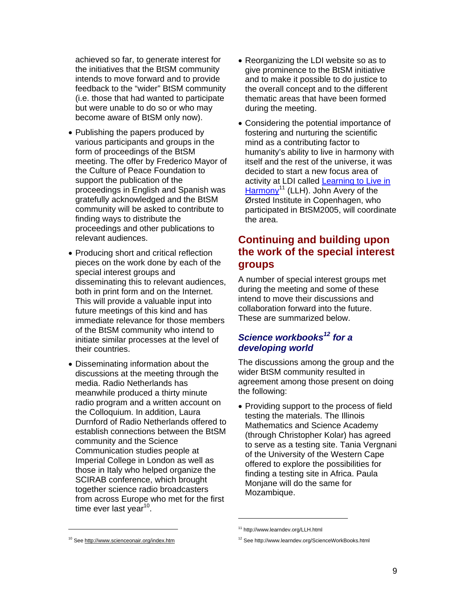achieved so far, to generate interest for the initiatives that the BtSM community intends to move forward and to provide feedback to the "wider" BtSM community (i.e. those that had wanted to participate but were unable to do so or who may become aware of BtSM only now).

- Publishing the papers produced by various participants and groups in the form of proceedings of the BtSM meeting. The offer by Frederico Mayor of the Culture of Peace Foundation to support the publication of the proceedings in English and Spanish was gratefully acknowledged and the BtSM community will be asked to contribute to finding ways to distribute the proceedings and other publications to relevant audiences.
- Producing short and critical reflection pieces on the work done by each of the special interest groups and disseminating this to relevant audiences, both in print form and on the Internet. This will provide a valuable input into future meetings of this kind and has immediate relevance for those members of the BtSM community who intend to initiate similar processes at the level of their countries.
- Disseminating information about the discussions at the meeting through the media. Radio Netherlands has meanwhile produced a thirty minute radio program and a written account on the Colloquium. In addition, Laura Durnford of Radio Netherlands offered to establish connections between the BtSM community and the Science Communication studies people at Imperial College in London as well as those in Italy who helped organize the SCIRAB conference, which brought together science radio broadcasters from across Europe who met for the first time ever last year<sup>10</sup>[.](#page-8-0)
- Reorganizing the LDI website so as to give prominence to the BtSM initiative and to make it possible to do justice to the overall concept and to the different thematic areas that have been formed during the meeting.
- Considering the potential importance of fostering and nurturing the scientific mind as a contributing factor to humanity's ability to live in harmony with itself and the rest of the universe, it was decided to start a new focus area of activity at LDI called [Learning to Live in](http://www.learndev.org/LLH.html)  [Harmony](http://www.learndev.org/LLH.html)<sup>11</sup> (LLH). John Avery of the Ørsted Institute in Copenhagen, who participated in BtSM2005, will coordinate the area.

### **Continuing and building upon the work of the special interest groups**

A number of special interest groups met during the meeting and some of these intend to move their discussions and collaboration forward into the future. These are summarized below.

### *Science workbooks[12](#page-8-2) for a developing world*

The discussions among the group and the wider BtSM community resulted in agreement among those present on doing the following:

• Providing support to the process of field testing the materials. The Illinois Mathematics and Science Academy (through Christopher Kolar) has agreed to serve as a testing site. Tania Vergnani of the University of the Western Cape offered to explore the possibilities for finding a testing site in Africa. Paula Monjane will do the same for Mozambique.

 $\overline{a}$ 

<span id="page-8-1"></span><sup>11</sup> http://www.learndev.org/LLH.html

<span id="page-8-2"></span><sup>12</sup> See http://www.learndev.org/ScienceWorkBooks.html

<span id="page-8-0"></span><sup>10</sup> See <http://www.scienceonair.org/index.htm>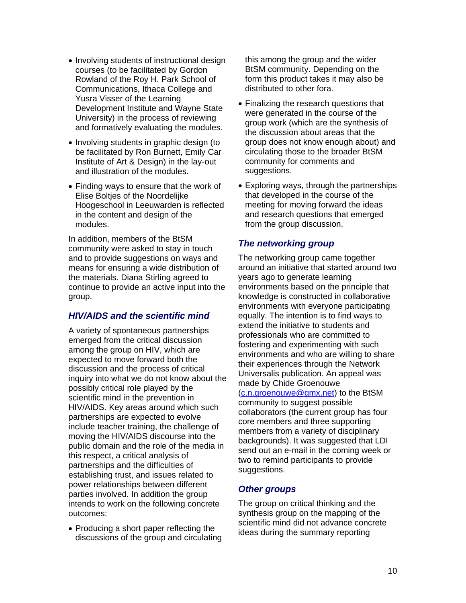- Involving students of instructional design courses (to be facilitated by Gordon Rowland of the Roy H. Park School of Communications, Ithaca College and Yusra Visser of the Learning Development Institute and Wayne State University) in the process of reviewing and formatively evaluating the modules.
- Involving students in graphic design (to be facilitated by Ron Burnett, Emily Car Institute of Art & Design) in the lay-out and illustration of the modules.
- Finding ways to ensure that the work of Elise Boltjes of the Noordelijke Hoogeschool in Leeuwarden is reflected in the content and design of the modules.

In addition, members of the BtSM community were asked to stay in touch and to provide suggestions on ways and means for ensuring a wide distribution of the materials. Diana Stirling agreed to continue to provide an active input into the group.

#### *HIV/AIDS and the scientific mind*

A variety of spontaneous partnerships emerged from the critical discussion among the group on HIV, which are expected to move forward both the discussion and the process of critical inquiry into what we do not know about the possibly critical role played by the scientific mind in the prevention in HIV/AIDS. Key areas around which such partnerships are expected to evolve include teacher training, the challenge of moving the HIV/AIDS discourse into the public domain and the role of the media in this respect, a critical analysis of partnerships and the difficulties of establishing trust, and issues related to power relationships between different parties involved. In addition the group intends to work on the following concrete outcomes:

• Producing a short paper reflecting the discussions of the group and circulating

this among the group and the wider BtSM community. Depending on the form this product takes it may also be distributed to other fora.

- Finalizing the research questions that were generated in the course of the group work (which are the synthesis of the discussion about areas that the group does not know enough about) and circulating those to the broader BtSM community for comments and suggestions.
- Exploring ways, through the partnerships that developed in the course of the meeting for moving forward the ideas and research questions that emerged from the group discussion.

#### *The networking group*

The networking group came together around an initiative that started around two years ago to generate learning environments based on the principle that knowledge is constructed in collaborative environments with everyone participating equally. The intention is to find ways to extend the initiative to students and professionals who are committed to fostering and experimenting with such environments and who are willing to share their experiences through the Network Universalis publication. An appeal was made by Chide Groenouwe ([c.n.groenouwe@gmx.net](mailto:c.n.groenouwe@gmx.net)) to the BtSM community to suggest possible collaborators (the current group has four core members and three supporting members from a variety of disciplinary backgrounds). It was suggested that LDI send out an e-mail in the coming week or two to remind participants to provide suggestions.

#### *Other groups*

The group on critical thinking and the synthesis group on the mapping of the scientific mind did not advance concrete ideas during the summary reporting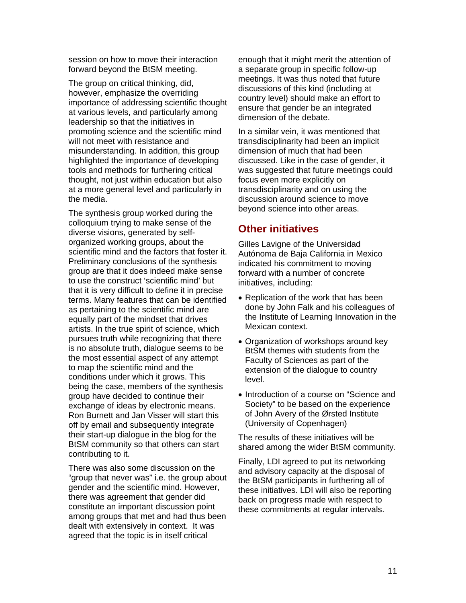session on how to move their interaction forward beyond the BtSM meeting.

The group on critical thinking, did, however, emphasize the overriding importance of addressing scientific thought at various levels, and particularly among leadership so that the initiatives in promoting science and the scientific mind will not meet with resistance and misunderstanding. In addition, this group highlighted the importance of developing tools and methods for furthering critical thought, not just within education but also at a more general level and particularly in the media.

The synthesis group worked during the colloquium trying to make sense of the diverse visions, generated by selforganized working groups, about the scientific mind and the factors that foster it. Preliminary conclusions of the synthesis group are that it does indeed make sense to use the construct 'scientific mind' but that it is very difficult to define it in precise terms. Many features that can be identified as pertaining to the scientific mind are equally part of the mindset that drives artists. In the true spirit of science, which pursues truth while recognizing that there is no absolute truth, dialogue seems to be the most essential aspect of any attempt to map the scientific mind and the conditions under which it grows. This being the case, members of the synthesis group have decided to continue their exchange of ideas by electronic means. Ron Burnett and Jan Visser will start this off by email and subsequently integrate their start-up dialogue in the blog for the BtSM community so that others can start contributing to it.

There was also some discussion on the "group that never was" i.e. the group about gender and the scientific mind. However, there was agreement that gender did constitute an important discussion point among groups that met and had thus been dealt with extensively in context. It was agreed that the topic is in itself critical

enough that it might merit the attention of a separate group in specific follow-up meetings. It was thus noted that future discussions of this kind (including at country level) should make an effort to ensure that gender be an integrated dimension of the debate.

In a similar vein, it was mentioned that transdisciplinarity had been an implicit dimension of much that had been discussed. Like in the case of gender, it was suggested that future meetings could focus even more explicitly on transdisciplinarity and on using the discussion around science to move beyond science into other areas.

#### **Other initiatives**

Gilles Lavigne of the Universidad Autónoma de Baja California in Mexico indicated his commitment to moving forward with a number of concrete initiatives, including:

- Replication of the work that has been done by John Falk and his colleagues of the Institute of Learning Innovation in the Mexican context.
- Organization of workshops around key BtSM themes with students from the Faculty of Sciences as part of the extension of the dialogue to country level.
- Introduction of a course on "Science and Society" to be based on the experience of John Avery of the Ørsted Institute (University of Copenhagen)

The results of these initiatives will be shared among the wider BtSM community.

Finally, LDI agreed to put its networking and advisory capacity at the disposal of the BtSM participants in furthering all of these initiatives. LDI will also be reporting back on progress made with respect to these commitments at regular intervals.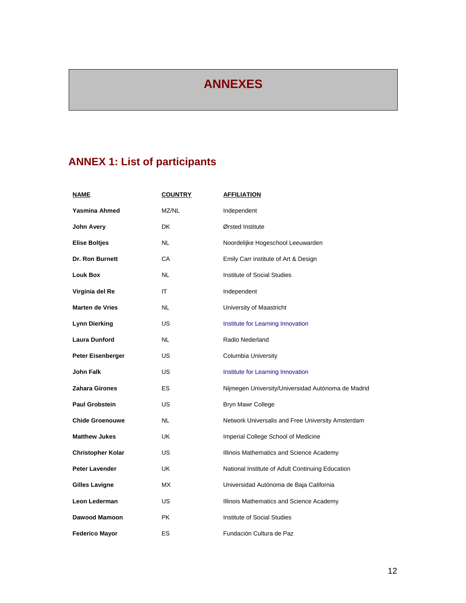# **ANNEXES**

# **ANNEX 1: List of participants**

| <u>NAME</u>              | <b>COUNTRY</b> | <b>AFFILIATION</b>                                 |
|--------------------------|----------------|----------------------------------------------------|
| <b>Yasmina Ahmed</b>     | MZ/NL          | Independent                                        |
| John Avery               | <b>DK</b>      | Ørsted Institute                                   |
| <b>Elise Boltjes</b>     | NL             | Noordelijke Hogeschool Leeuwarden                  |
| <b>Dr. Ron Burnett</b>   | CA             | Emily Carr institute of Art & Design               |
| <b>Louk Box</b>          | NL             | Institute of Social Studies                        |
| Virginia del Re          | ΙT             | Independent                                        |
| <b>Marten de Vries</b>   | NL.            | University of Maastricht                           |
| <b>Lynn Dierking</b>     | US             | Institute for Learning Innovation                  |
| <b>Laura Dunford</b>     | NL             | Radio Nederland                                    |
| Peter Eisenberger        | US             | Columbia University                                |
| John Falk                | <b>US</b>      | Institute for Learning Innovation                  |
| Zahara Girones           | ES             | Nijmegen University/Universidad Autónoma de Madrid |
| <b>Paul Grobstein</b>    | <b>US</b>      | Bryn Mawr College                                  |
| <b>Chide Groenouwe</b>   | NL             | Network Universalis and Free University Amsterdam  |
| <b>Matthew Jukes</b>     | UK             | Imperial College School of Medicine                |
| <b>Christopher Kolar</b> | US             | Illinois Mathematics and Science Academy           |
| <b>Peter Lavender</b>    | UK             | National Institute of Adult Continuing Education   |
| <b>Gilles Lavigne</b>    | МX             | Universidad Autónoma de Baja California            |
| Leon Lederman            | US             | Illinois Mathematics and Science Academy           |
| Dawood Mamoon            | <b>PK</b>      | Institute of Social Studies                        |
| <b>Federico Mayor</b>    | <b>ES</b>      | Fundación Cultura de Paz                           |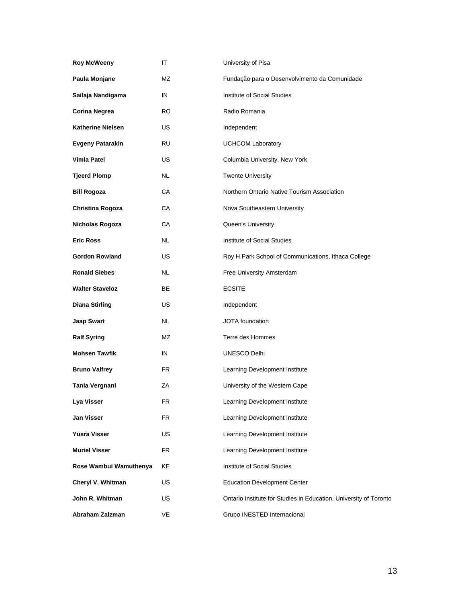| <b>Roy McWeeny</b>       | ΙT        | University of Pisa                                                |
|--------------------------|-----------|-------------------------------------------------------------------|
| Paula Monjane            | MZ        | Fundação para o Desenvolvimento da Comunidade                     |
| Sailaja Nandigama        | IN        | Institute of Social Studies                                       |
| <b>Corina Negrea</b>     | RO.       | Radio Romania                                                     |
| <b>Katherine Nielsen</b> | US        | Independent                                                       |
| <b>Evgeny Patarakin</b>  | RU        | <b>UCHCOM Laboratory</b>                                          |
| <b>Vimla Patel</b>       | US        | Columbia University, New York                                     |
| <b>Tjeerd Plomp</b>      | NL        | <b>Twente University</b>                                          |
| <b>Bill Rogoza</b>       | CA        | Northern Ontario Native Tourism Association                       |
| Christina Rogoza         | СA        | Nova Southeastern University                                      |
| Nicholas Rogoza          | СA        | Queen's University                                                |
| <b>Eric Ross</b>         | <b>NL</b> | Institute of Social Studies                                       |
| <b>Gordon Rowland</b>    | US        | Roy H.Park School of Communications, Ithaca College               |
| <b>Ronald Siebes</b>     | NL        | Free University Amsterdam                                         |
| <b>Walter Staveloz</b>   | BE        | <b>ECSITE</b>                                                     |
| <b>Diana Stirling</b>    | US.       | Independent                                                       |
| Jaap Swart               | NL        | <b>JOTA</b> foundation                                            |
| <b>Ralf Syring</b>       | MZ        | Terre des Hommes                                                  |
| <b>Mohsen Tawfik</b>     | IN        | <b>UNESCO Delhi</b>                                               |
| <b>Bruno Valfrey</b>     | FR        | Learning Development Institute                                    |
| Tania Vergnani           | ΖA        | University of the Western Cape                                    |
| Lya Visser               | FК        | Learning Development Institute                                    |
| Jan Visser               | <b>FR</b> | Learning Development Institute                                    |
| Yusra Visser             | US        | Learning Development Institute                                    |
| <b>Muriel Visser</b>     | FR        | Learning Development Institute                                    |
| Rose Wambui Wamuthenya   | KE        | Institute of Social Studies                                       |
| Cheryl V. Whitman        | <b>US</b> | <b>Education Development Center</b>                               |
| John R. Whitman          | US        | Ontario Institute for Studies in Education, University of Toronto |
| Abraham Zalzman          | VE        | Grupo INESTED Internacional                                       |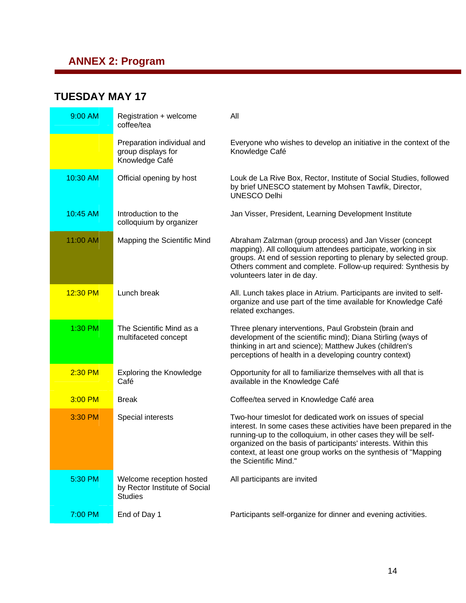## **ANNEX 2: Program**

### **TUESDAY MAY 17**

| 9:00 AM  | Registration + welcome<br>coffee/tea                                        | All                                                                                                                                                                                                                                                                                                                                                             |
|----------|-----------------------------------------------------------------------------|-----------------------------------------------------------------------------------------------------------------------------------------------------------------------------------------------------------------------------------------------------------------------------------------------------------------------------------------------------------------|
|          | Preparation individual and<br>group displays for<br>Knowledge Café          | Everyone who wishes to develop an initiative in the context of the<br>Knowledge Café                                                                                                                                                                                                                                                                            |
| 10:30 AM | Official opening by host                                                    | Louk de La Rive Box, Rector, Institute of Social Studies, followed<br>by brief UNESCO statement by Mohsen Tawfik, Director,<br><b>UNESCO Delhi</b>                                                                                                                                                                                                              |
| 10:45 AM | Introduction to the<br>colloquium by organizer                              | Jan Visser, President, Learning Development Institute                                                                                                                                                                                                                                                                                                           |
| 11:00 AM | Mapping the Scientific Mind                                                 | Abraham Zalzman (group process) and Jan Visser (concept<br>mapping). All colloquium attendees participate, working in six<br>groups. At end of session reporting to plenary by selected group.<br>Others comment and complete. Follow-up required: Synthesis by<br>volunteers later in de day.                                                                  |
| 12:30 PM | Lunch break                                                                 | All. Lunch takes place in Atrium. Participants are invited to self-<br>organize and use part of the time available for Knowledge Café<br>related exchanges.                                                                                                                                                                                                     |
| 1:30 PM  | The Scientific Mind as a<br>multifaceted concept                            | Three plenary interventions, Paul Grobstein (brain and<br>development of the scientific mind); Diana Stirling (ways of<br>thinking in art and science); Matthew Jukes (children's<br>perceptions of health in a developing country context)                                                                                                                     |
| 2:30 PM  | <b>Exploring the Knowledge</b><br>Café                                      | Opportunity for all to familiarize themselves with all that is<br>available in the Knowledge Café                                                                                                                                                                                                                                                               |
| 3:00 PM  | <b>Break</b>                                                                | Coffee/tea served in Knowledge Café area                                                                                                                                                                                                                                                                                                                        |
| 3:30 PM  | Special interests                                                           | Two-hour timeslot for dedicated work on issues of special<br>interest. In some cases these activities have been prepared in the<br>running-up to the colloquium, in other cases they will be self-<br>organized on the basis of participants' interests. Within this<br>context, at least one group works on the synthesis of "Mapping<br>the Scientific Mind." |
| 5:30 PM  | Welcome reception hosted<br>by Rector Institute of Social<br><b>Studies</b> | All participants are invited                                                                                                                                                                                                                                                                                                                                    |
| 7:00 PM  | End of Day 1                                                                | Participants self-organize for dinner and evening activities.                                                                                                                                                                                                                                                                                                   |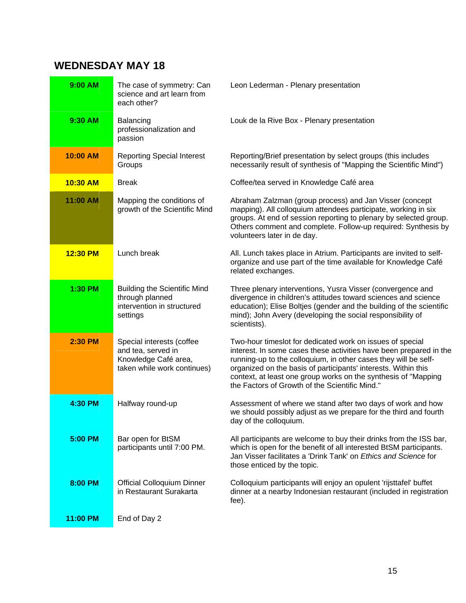## **WEDNESDAY MAY 18**

| 9:00 AM  | The case of symmetry: Can<br>science and art learn from<br>each other?                                 | Leon Lederman - Plenary presentation                                                                                                                                                                                                                                                                                                                                                     |
|----------|--------------------------------------------------------------------------------------------------------|------------------------------------------------------------------------------------------------------------------------------------------------------------------------------------------------------------------------------------------------------------------------------------------------------------------------------------------------------------------------------------------|
| 9:30 AM  | Balancing<br>professionalization and<br>passion                                                        | Louk de la Rive Box - Plenary presentation                                                                                                                                                                                                                                                                                                                                               |
| 10:00 AM | <b>Reporting Special Interest</b><br>Groups                                                            | Reporting/Brief presentation by select groups (this includes<br>necessarily result of synthesis of "Mapping the Scientific Mind")                                                                                                                                                                                                                                                        |
| 10:30 AM | <b>Break</b>                                                                                           | Coffee/tea served in Knowledge Café area                                                                                                                                                                                                                                                                                                                                                 |
| 11:00 AM | Mapping the conditions of<br>growth of the Scientific Mind                                             | Abraham Zalzman (group process) and Jan Visser (concept<br>mapping). All colloquium attendees participate, working in six<br>groups. At end of session reporting to plenary by selected group.<br>Others comment and complete. Follow-up required: Synthesis by<br>volunteers later in de day.                                                                                           |
| 12:30 PM | Lunch break                                                                                            | All. Lunch takes place in Atrium. Participants are invited to self-<br>organize and use part of the time available for Knowledge Café<br>related exchanges.                                                                                                                                                                                                                              |
| 1:30 PM  | <b>Building the Scientific Mind</b><br>through planned<br>intervention in structured<br>settings       | Three plenary interventions, Yusra Visser (convergence and<br>divergence in children's attitudes toward sciences and science<br>education); Elise Boltjes (gender and the building of the scientific<br>mind); John Avery (developing the social responsibility of<br>scientists).                                                                                                       |
| 2:30 PM  | Special interests (coffee<br>and tea, served in<br>Knowledge Café area,<br>taken while work continues) | Two-hour timeslot for dedicated work on issues of special<br>interest. In some cases these activities have been prepared in the<br>running-up to the colloquium, in other cases they will be self-<br>organized on the basis of participants' interests. Within this<br>context, at least one group works on the synthesis of "Mapping<br>the Factors of Growth of the Scientific Mind." |
| 4:30 PM  | Halfway round-up                                                                                       | Assessment of where we stand after two days of work and how<br>we should possibly adjust as we prepare for the third and fourth<br>day of the colloquium.                                                                                                                                                                                                                                |
| 5:00 PM  | Bar open for BtSM<br>participants until 7:00 PM.                                                       | All participants are welcome to buy their drinks from the ISS bar,<br>which is open for the benefit of all interested BtSM participants.<br>Jan Visser facilitates a 'Drink Tank' on Ethics and Science for<br>those enticed by the topic.                                                                                                                                               |
| 8:00 PM  | <b>Official Colloquium Dinner</b><br>in Restaurant Surakarta                                           | Colloquium participants will enjoy an opulent 'rijsttafel' buffet<br>dinner at a nearby Indonesian restaurant (included in registration<br>fee).                                                                                                                                                                                                                                         |
| 11:00 PM | End of Day 2                                                                                           |                                                                                                                                                                                                                                                                                                                                                                                          |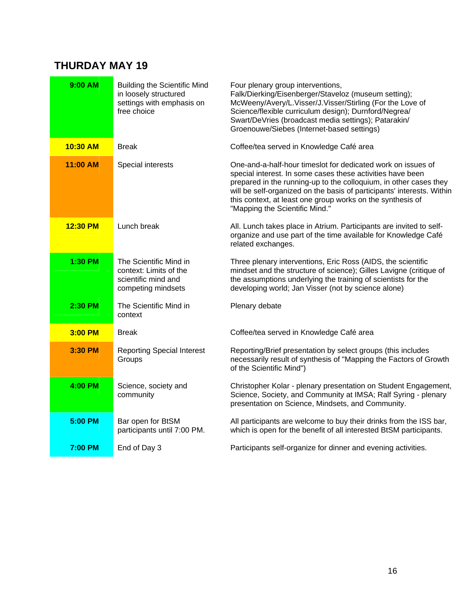# **THURDAY MAY 19**

| 9:00 AM  | <b>Building the Scientific Mind</b><br>in loosely structured<br>settings with emphasis on<br>free choice | Four plenary group interventions,<br>Falk/Dierking/Eisenberger/Staveloz (museum setting);<br>McWeeny/Avery/L.Visser/J.Visser/Stirling (For the Love of<br>Science/flexible curriculum design); Durnford/Negrea/<br>Swart/DeVries (broadcast media settings); Patarakin/<br>Groenouwe/Siebes (Internet-based settings)                                                     |
|----------|----------------------------------------------------------------------------------------------------------|---------------------------------------------------------------------------------------------------------------------------------------------------------------------------------------------------------------------------------------------------------------------------------------------------------------------------------------------------------------------------|
| 10:30 AM | <b>Break</b>                                                                                             | Coffee/tea served in Knowledge Café area                                                                                                                                                                                                                                                                                                                                  |
| 11:00 AM | Special interests                                                                                        | One-and-a-half-hour timeslot for dedicated work on issues of<br>special interest. In some cases these activities have been<br>prepared in the running-up to the colloquium, in other cases they<br>will be self-organized on the basis of participants' interests. Within<br>this context, at least one group works on the synthesis of<br>"Mapping the Scientific Mind." |
| 12:30 PM | Lunch break                                                                                              | All. Lunch takes place in Atrium. Participants are invited to self-<br>organize and use part of the time available for Knowledge Café<br>related exchanges.                                                                                                                                                                                                               |
| 1:30 PM  | The Scientific Mind in<br>context: Limits of the<br>scientific mind and<br>competing mindsets            | Three plenary interventions, Eric Ross (AIDS, the scientific<br>mindset and the structure of science); Gilles Lavigne (critique of<br>the assumptions underlying the training of scientists for the<br>developing world; Jan Visser (not by science alone)                                                                                                                |
| 2:30 PM  | The Scientific Mind in<br>context                                                                        | Plenary debate                                                                                                                                                                                                                                                                                                                                                            |
| 3:00 PM  | <b>Break</b>                                                                                             | Coffee/tea served in Knowledge Café area                                                                                                                                                                                                                                                                                                                                  |
| 3:30 PM  | <b>Reporting Special Interest</b><br>Groups                                                              | Reporting/Brief presentation by select groups (this includes<br>necessarily result of synthesis of "Mapping the Factors of Growth<br>of the Scientific Mind")                                                                                                                                                                                                             |
| 4:00 PM  | Science, society and<br>community                                                                        | Christopher Kolar - plenary presentation on Student Engagement,<br>Science, Society, and Community at IMSA; Ralf Syring - plenary<br>presentation on Science, Mindsets, and Community.                                                                                                                                                                                    |
| 5:00 PM  | Bar open for BtSM<br>participants until 7:00 PM.                                                         | All participants are welcome to buy their drinks from the ISS bar,<br>which is open for the benefit of all interested BtSM participants.                                                                                                                                                                                                                                  |
| 7:00 PM  | End of Day 3                                                                                             | Participants self-organize for dinner and evening activities.                                                                                                                                                                                                                                                                                                             |